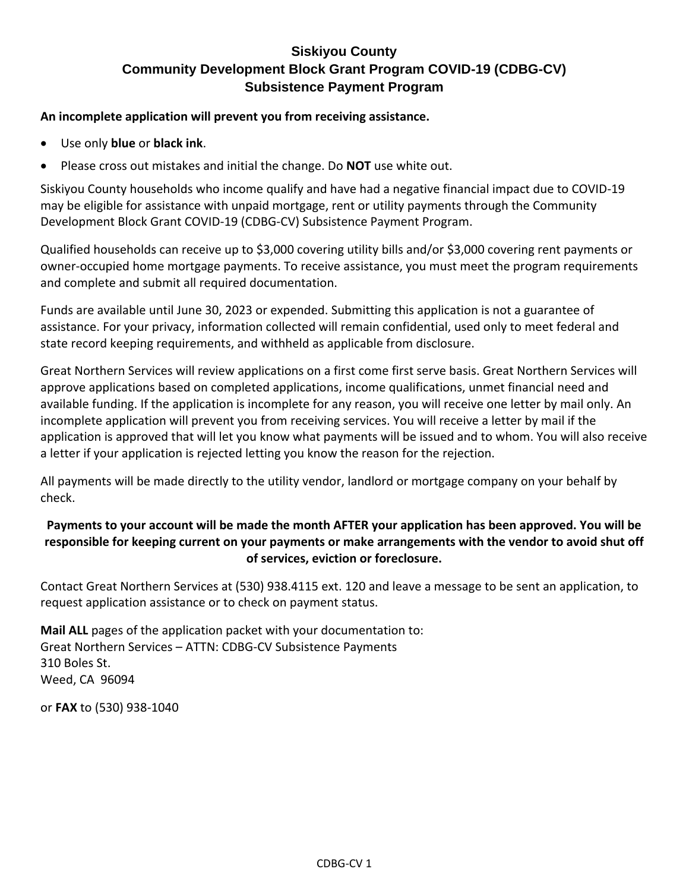#### **An incomplete application will prevent you from receiving assistance.**

- Use only **blue** or **black ink**.
- Please cross out mistakes and initial the change. Do **NOT** use white out.

Siskiyou County households who income qualify and have had a negative financial impact due to COVID-19 may be eligible for assistance with unpaid mortgage, rent or utility payments through the Community Development Block Grant COVID-19 (CDBG-CV) Subsistence Payment Program.

Qualified households can receive up to \$3,000 covering utility bills and/or \$3,000 covering rent payments or owner-occupied home mortgage payments. To receive assistance, you must meet the program requirements and complete and submit all required documentation.

Funds are available until June 30, 2023 or expended. Submitting this application is not a guarantee of assistance. For your privacy, information collected will remain confidential, used only to meet federal and state record keeping requirements, and withheld as applicable from disclosure.

Great Northern Services will review applications on a first come first serve basis. Great Northern Services will approve applications based on completed applications, income qualifications, unmet financial need and available funding. If the application is incomplete for any reason, you will receive one letter by mail only. An incomplete application will prevent you from receiving services. You will receive a letter by mail if the application is approved that will let you know what payments will be issued and to whom. You will also receive a letter if your application is rejected letting you know the reason for the rejection.

All payments will be made directly to the utility vendor, landlord or mortgage company on your behalf by check.

#### **Payments to your account will be made the month AFTER your application has been approved. You will be responsible for keeping current on your payments or make arrangements with the vendor to avoid shut off of services, eviction or foreclosure.**

Contact Great Northern Services at (530) 938.4115 ext. 120 and leave a message to be sent an application, to request application assistance or to check on payment status.

**Mail ALL** pages of the application packet with your documentation to: Great Northern Services – ATTN: CDBG-CV Subsistence Payments 310 Boles St. Weed, CA 96094

or **FAX** to (530) 938-1040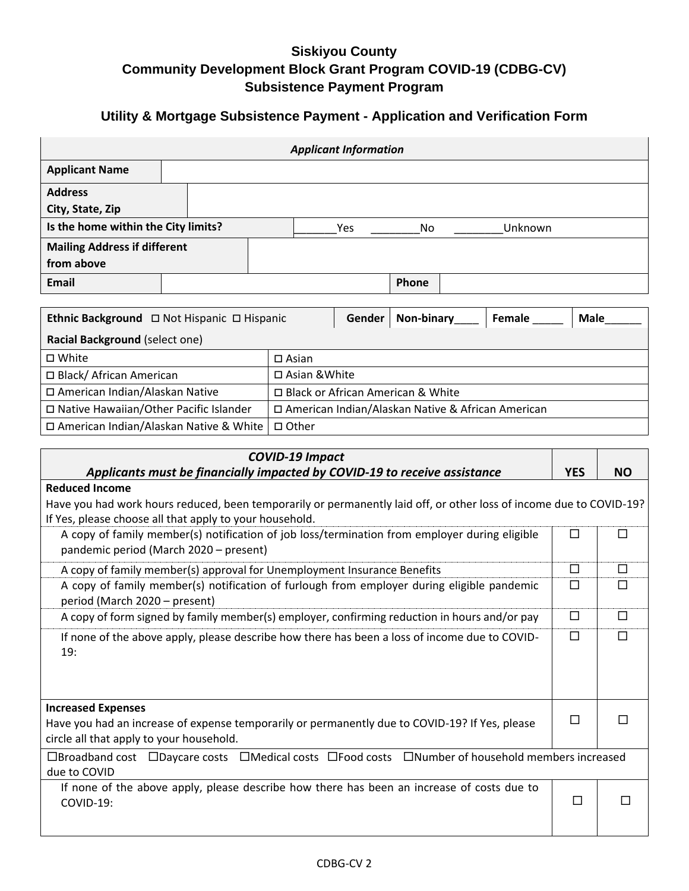## **Utility & Mortgage Subsistence Payment - Application and Verification Form**

 $\mathbf{L}$ 

| <b>Applicant Information</b>                                                                                                                                            |  |                                     |        |            |  |                                                     |             |           |
|-------------------------------------------------------------------------------------------------------------------------------------------------------------------------|--|-------------------------------------|--------|------------|--|-----------------------------------------------------|-------------|-----------|
| <b>Applicant Name</b>                                                                                                                                                   |  |                                     |        |            |  |                                                     |             |           |
| <b>Address</b>                                                                                                                                                          |  |                                     |        |            |  |                                                     |             |           |
| City, State, Zip                                                                                                                                                        |  |                                     |        |            |  |                                                     |             |           |
| Is the home within the City limits?                                                                                                                                     |  |                                     | Yes    | No         |  | Unknown                                             |             |           |
| <b>Mailing Address if different</b><br>from above                                                                                                                       |  |                                     |        |            |  |                                                     |             |           |
| <b>Email</b>                                                                                                                                                            |  |                                     |        | Phone      |  |                                                     |             |           |
|                                                                                                                                                                         |  |                                     |        |            |  |                                                     |             |           |
|                                                                                                                                                                         |  |                                     | Gender | Non-binary |  | Female                                              | <b>Male</b> |           |
| Racial Background (select one)                                                                                                                                          |  |                                     |        |            |  |                                                     |             |           |
| □ White                                                                                                                                                                 |  | $\square$ Asian                     |        |            |  |                                                     |             |           |
| □ Black/ African American                                                                                                                                               |  | □ Asian & White                     |        |            |  |                                                     |             |           |
| □ American Indian/Alaskan Native                                                                                                                                        |  | □ Black or African American & White |        |            |  |                                                     |             |           |
| □ Native Hawaiian/Other Pacific Islander                                                                                                                                |  |                                     |        |            |  | □ American Indian/Alaskan Native & African American |             |           |
| □ American Indian/Alaskan Native & White<br>□ Other                                                                                                                     |  |                                     |        |            |  |                                                     |             |           |
|                                                                                                                                                                         |  | <b>COVID-19 Impact</b>              |        |            |  |                                                     |             |           |
| Applicants must be financially impacted by COVID-19 to receive assistance                                                                                               |  |                                     |        |            |  |                                                     | <b>YES</b>  | <b>NO</b> |
| <b>Reduced Income</b>                                                                                                                                                   |  |                                     |        |            |  |                                                     |             |           |
| Have you had work hours reduced, been temporarily or permanently laid off, or other loss of income due to COVID-19?                                                     |  |                                     |        |            |  |                                                     |             |           |
| If Yes, please choose all that apply to your household.                                                                                                                 |  |                                     |        |            |  |                                                     |             |           |
| A copy of family member(s) notification of job loss/termination from employer during eligible<br>pandemic period (March 2020 - present)                                 |  |                                     |        |            |  |                                                     | □           | □         |
| A copy of family member(s) approval for Unemployment Insurance Benefits                                                                                                 |  |                                     |        |            |  |                                                     | $\Box$      | $\Box$    |
| A copy of family member(s) notification of furlough from employer during eligible pandemic<br>period (March 2020 - present)                                             |  |                                     |        |            |  |                                                     | $\Box$      | $\Box$    |
| A copy of form signed by family member(s) employer, confirming reduction in hours and/or pay                                                                            |  |                                     |        |            |  |                                                     | □           | $\Box$    |
| $\Box$<br>□<br>If none of the above apply, please describe how there has been a loss of income due to COVID-<br>19:                                                     |  |                                     |        |            |  |                                                     |             |           |
|                                                                                                                                                                         |  |                                     |        |            |  |                                                     |             |           |
|                                                                                                                                                                         |  |                                     |        |            |  |                                                     |             |           |
| <b>Increased Expenses</b><br>Have you had an increase of expense temporarily or permanently due to COVID-19? If Yes, please<br>circle all that apply to your household. |  |                                     |        |            |  |                                                     | □           | П         |
| □Broadband cost □Daycare costs □Medical costs □Food costs □Number of household members increased<br>due to COVID                                                        |  |                                     |        |            |  |                                                     |             |           |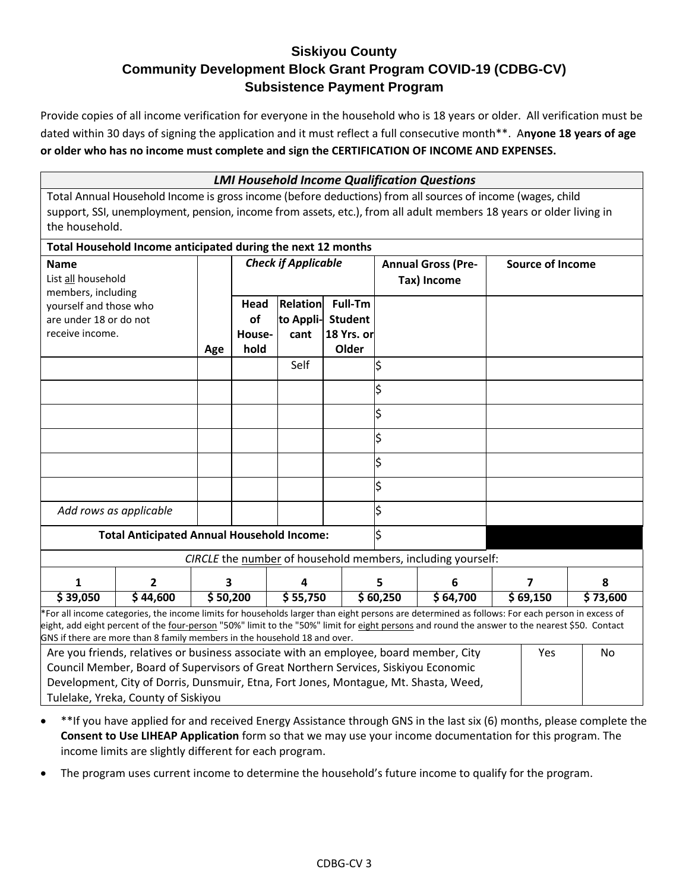Provide copies of all income verification for everyone in the household who is 18 years or older. All verification must be dated within 30 days of signing the application and it must reflect a full consecutive month\*\*. A**nyone 18 years of age or older who has no income must complete and sign the CERTIFICATION OF INCOME AND EXPENSES.**

|                                                                                                                                                                                                                                                                                                                                                                               | <b>LMI Household Income Qualification Questions</b>                                                                |          |        |                            |                |                        |                                                             |          |                         |          |
|-------------------------------------------------------------------------------------------------------------------------------------------------------------------------------------------------------------------------------------------------------------------------------------------------------------------------------------------------------------------------------|--------------------------------------------------------------------------------------------------------------------|----------|--------|----------------------------|----------------|------------------------|-------------------------------------------------------------|----------|-------------------------|----------|
|                                                                                                                                                                                                                                                                                                                                                                               | Total Annual Household Income is gross income (before deductions) from all sources of income (wages, child         |          |        |                            |                |                        |                                                             |          |                         |          |
| the household.                                                                                                                                                                                                                                                                                                                                                                | support, SSI, unemployment, pension, income from assets, etc.), from all adult members 18 years or older living in |          |        |                            |                |                        |                                                             |          |                         |          |
|                                                                                                                                                                                                                                                                                                                                                                               |                                                                                                                    |          |        |                            |                |                        |                                                             |          |                         |          |
|                                                                                                                                                                                                                                                                                                                                                                               | Total Household Income anticipated during the next 12 months                                                       |          |        |                            |                |                        |                                                             |          |                         |          |
| <b>Name</b>                                                                                                                                                                                                                                                                                                                                                                   |                                                                                                                    |          |        | <b>Check if Applicable</b> |                |                        | <b>Annual Gross (Pre-</b>                                   |          | <b>Source of Income</b> |          |
| List all household                                                                                                                                                                                                                                                                                                                                                            |                                                                                                                    |          |        |                            |                |                        | Tax) Income                                                 |          |                         |          |
| members, including<br>yourself and those who                                                                                                                                                                                                                                                                                                                                  |                                                                                                                    |          | Head   | Relation                   | Full-Tm        |                        |                                                             |          |                         |          |
| are under 18 or do not                                                                                                                                                                                                                                                                                                                                                        |                                                                                                                    |          | of     | to Appli-                  | <b>Student</b> |                        |                                                             |          |                         |          |
| receive income.                                                                                                                                                                                                                                                                                                                                                               |                                                                                                                    |          | House- | cant                       | 18 Yrs. or     |                        |                                                             |          |                         |          |
|                                                                                                                                                                                                                                                                                                                                                                               |                                                                                                                    | Age      | hold   |                            | Older          |                        |                                                             |          |                         |          |
|                                                                                                                                                                                                                                                                                                                                                                               |                                                                                                                    |          |        | Self                       |                | $\overline{\varsigma}$ |                                                             |          |                         |          |
|                                                                                                                                                                                                                                                                                                                                                                               |                                                                                                                    |          |        |                            |                | \$                     |                                                             |          |                         |          |
|                                                                                                                                                                                                                                                                                                                                                                               |                                                                                                                    |          |        |                            |                | \$                     |                                                             |          |                         |          |
|                                                                                                                                                                                                                                                                                                                                                                               |                                                                                                                    |          |        |                            |                | \$                     |                                                             |          |                         |          |
|                                                                                                                                                                                                                                                                                                                                                                               |                                                                                                                    |          |        |                            |                | \$                     |                                                             |          |                         |          |
|                                                                                                                                                                                                                                                                                                                                                                               |                                                                                                                    |          |        |                            |                |                        |                                                             |          |                         |          |
|                                                                                                                                                                                                                                                                                                                                                                               |                                                                                                                    |          |        |                            |                | \$                     |                                                             |          |                         |          |
| Add rows as applicable                                                                                                                                                                                                                                                                                                                                                        |                                                                                                                    |          |        |                            |                | Ś                      |                                                             |          |                         |          |
|                                                                                                                                                                                                                                                                                                                                                                               | <b>Total Anticipated Annual Household Income:</b>                                                                  |          |        |                            |                | \$                     |                                                             |          |                         |          |
|                                                                                                                                                                                                                                                                                                                                                                               |                                                                                                                    |          |        |                            |                |                        | CIRCLE the number of household members, including yourself: |          |                         |          |
| 1                                                                                                                                                                                                                                                                                                                                                                             | 2                                                                                                                  | 3        |        | 4                          |                | 5                      | 6                                                           | 7        |                         | 8        |
| \$39,050                                                                                                                                                                                                                                                                                                                                                                      | \$44,600                                                                                                           | \$50,200 |        | \$55,750                   |                | \$60,250               | \$64,700                                                    | \$69,150 |                         | \$73,600 |
| *For all income categories, the income limits for households larger than eight persons are determined as follows: For each person in excess of<br>eight, add eight percent of the four-person "50%" limit to the "50%" limit for eight persons and round the answer to the nearest \$50. Contact<br>GNS if there are more than 8 family members in the household 18 and over. |                                                                                                                    |          |        |                            |                |                        |                                                             |          |                         |          |
|                                                                                                                                                                                                                                                                                                                                                                               | Are you friends, relatives or business associate with an employee, board member, City<br>Yes<br>No                 |          |        |                            |                |                        |                                                             |          |                         |          |
|                                                                                                                                                                                                                                                                                                                                                                               | Council Member, Board of Supervisors of Great Northern Services, Siskiyou Economic                                 |          |        |                            |                |                        |                                                             |          |                         |          |
|                                                                                                                                                                                                                                                                                                                                                                               | Development, City of Dorris, Dunsmuir, Etna, Fort Jones, Montague, Mt. Shasta, Weed,                               |          |        |                            |                |                        |                                                             |          |                         |          |
| Tulelake, Yreka, County of Siskiyou                                                                                                                                                                                                                                                                                                                                           |                                                                                                                    |          |        |                            |                |                        |                                                             |          |                         |          |

- \*\*If you have applied for and received Energy Assistance through GNS in the last six (6) months, please complete the **Consent to Use LIHEAP Application** form so that we may use your income documentation for this program. The income limits are slightly different for each program.
- The program uses current income to determine the household's future income to qualify for the program.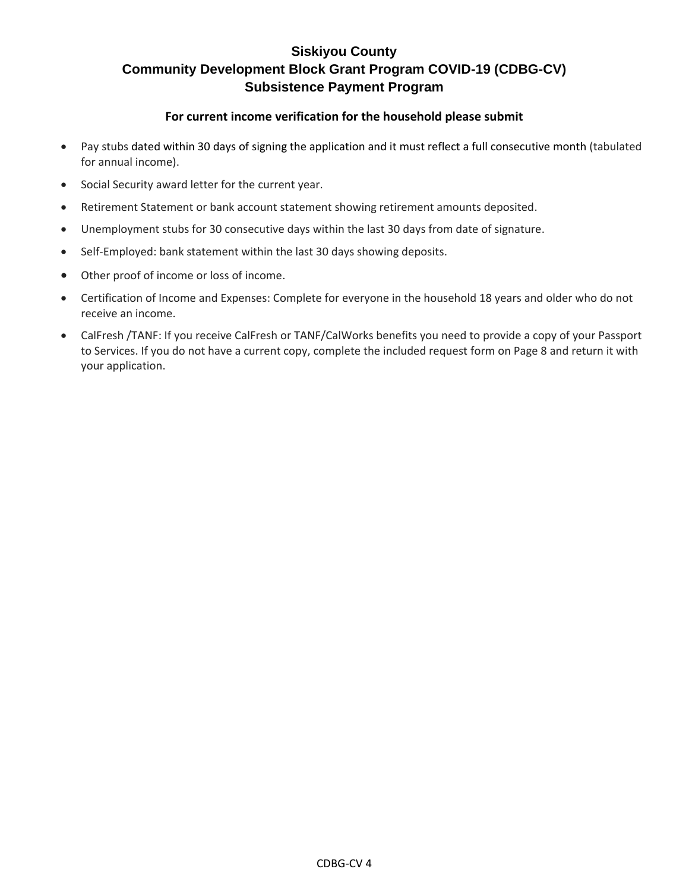#### **For current income verification for the household please submit**

- Pay stubs dated within 30 days of signing the application and it must reflect a full consecutive month (tabulated for annual income).
- Social Security award letter for the current year.
- Retirement Statement or bank account statement showing retirement amounts deposited.
- Unemployment stubs for 30 consecutive days within the last 30 days from date of signature.
- Self-Employed: bank statement within the last 30 days showing deposits.
- Other proof of income or loss of income.
- Certification of Income and Expenses: Complete for everyone in the household 18 years and older who do not receive an income.
- CalFresh /TANF: If you receive CalFresh or TANF/CalWorks benefits you need to provide a copy of your Passport to Services. If you do not have a current copy, complete the included request form on Page 8 and return it with your application.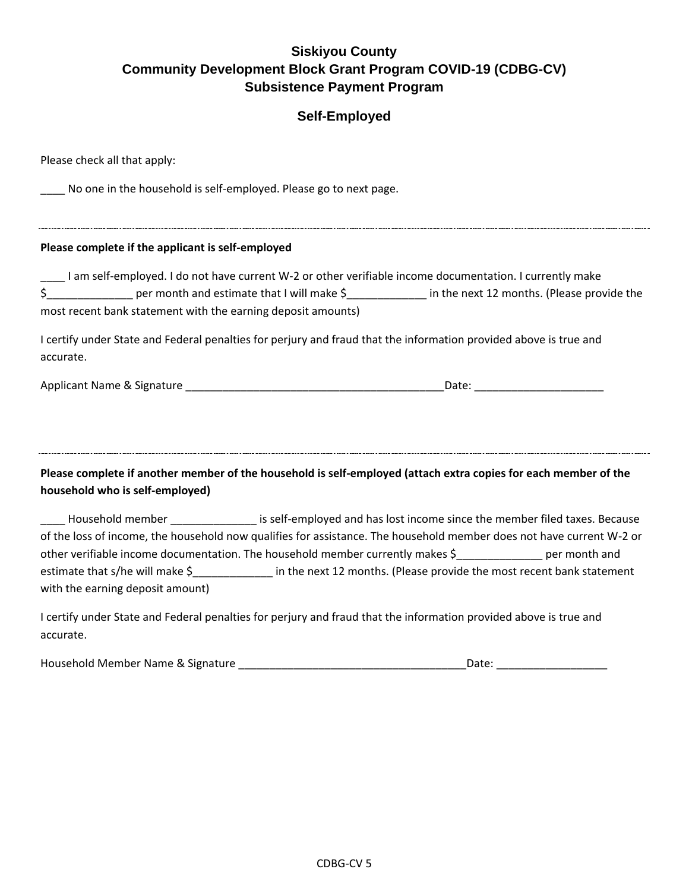## **Self-Employed**

| Please check all that apply:                                      |                                                                                                                                                                                                                                     |
|-------------------------------------------------------------------|-------------------------------------------------------------------------------------------------------------------------------------------------------------------------------------------------------------------------------------|
| No one in the household is self-employed. Please go to next page. |                                                                                                                                                                                                                                     |
| Please complete if the applicant is self-employed                 |                                                                                                                                                                                                                                     |
| most recent bank statement with the earning deposit amounts)      | I am self-employed. I do not have current W-2 or other verifiable income documentation. I currently make<br>\$_________________ per month and estimate that I will make \$______________ in the next 12 months. (Please provide the |
| accurate.                                                         | I certify under State and Federal penalties for perjury and fraud that the information provided above is true and                                                                                                                   |
|                                                                   | Applicant Name & Signature example and the contract of the Date:                                                                                                                                                                    |
| household who is self-employed)                                   | Please complete if another member of the household is self-employed (attach extra copies for each member of the                                                                                                                     |
|                                                                   | Household member _______________ is self-employed and has lost income since the member filed taxes. Because                                                                                                                         |
|                                                                   | of the loss of income, the household now qualifies for assistance. The household member does not have current W-2 or<br>other verifiable income documentation. The household member currently makes \$ ___________ per month and    |
| with the earning deposit amount)                                  | estimate that s/he will make \$______________ in the next 12 months. (Please provide the most recent bank statement                                                                                                                 |
| accurate.                                                         | I certify under State and Federal penalties for perjury and fraud that the information provided above is true and                                                                                                                   |

Household Member Name & Signature \_\_\_\_\_\_\_\_\_\_\_\_\_\_\_\_\_\_\_\_\_\_\_\_\_\_\_\_\_\_\_\_\_\_\_\_\_Date: \_\_\_\_\_\_\_\_\_\_\_\_\_\_\_\_\_\_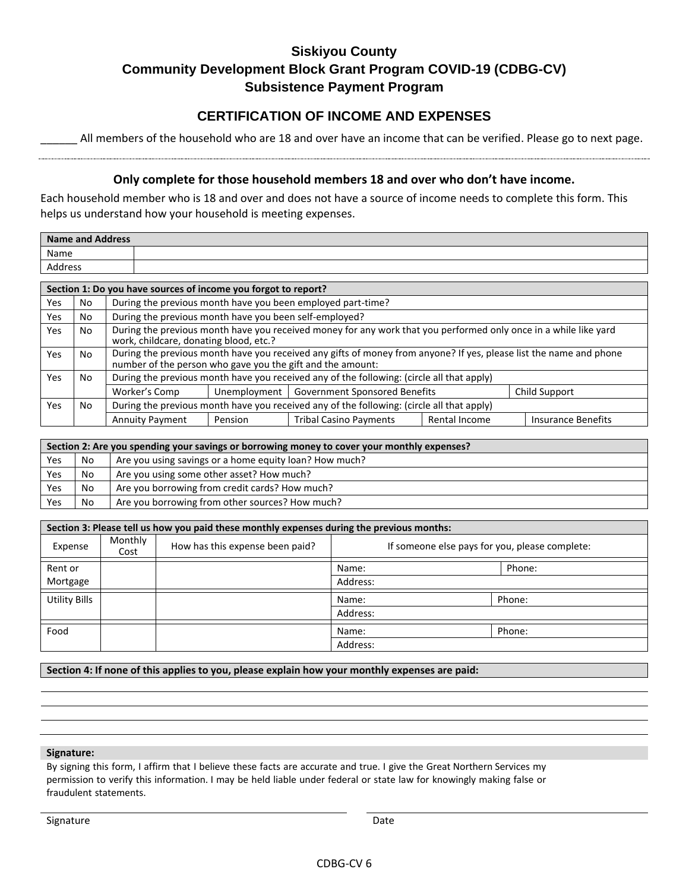#### **CERTIFICATION OF INCOME AND EXPENSES**

All members of the household who are 18 and over have an income that can be verified. Please go to next page.

#### **Only complete for those household members 18 and over who don't have income.**

Each household member who is 18 and over and does not have a source of income needs to complete this form. This helps us understand how your household is meeting expenses.

|            | <b>Name and Address</b>                                                                                                                                                                 |                        |                                              |                                                                                           |               |                           |
|------------|-----------------------------------------------------------------------------------------------------------------------------------------------------------------------------------------|------------------------|----------------------------------------------|-------------------------------------------------------------------------------------------|---------------|---------------------------|
| Name       |                                                                                                                                                                                         |                        |                                              |                                                                                           |               |                           |
|            | <b>Address</b>                                                                                                                                                                          |                        |                                              |                                                                                           |               |                           |
|            | Section 1: Do you have sources of income you forgot to report?                                                                                                                          |                        |                                              |                                                                                           |               |                           |
| Yes        | During the previous month have you been employed part-time?<br>No                                                                                                                       |                        |                                              |                                                                                           |               |                           |
| Yes        | During the previous month have you been self-employed?<br>No.                                                                                                                           |                        |                                              |                                                                                           |               |                           |
| <b>Yes</b> | During the previous month have you received money for any work that you performed only once in a while like yard<br>No.<br>work, childcare, donating blood, etc.?                       |                        |                                              |                                                                                           |               |                           |
| Yes        | During the previous month have you received any gifts of money from anyone? If yes, please list the name and phone<br>No.<br>number of the person who gave you the gift and the amount: |                        |                                              |                                                                                           |               |                           |
| <b>Yes</b> | During the previous month have you received any of the following: (circle all that apply)<br>No.                                                                                        |                        |                                              |                                                                                           |               |                           |
|            |                                                                                                                                                                                         | Worker's Comp          | Unemployment   Government Sponsored Benefits |                                                                                           |               | Child Support             |
| Yes        | No.                                                                                                                                                                                     |                        |                                              | During the previous month have you received any of the following: (circle all that apply) |               |                           |
|            |                                                                                                                                                                                         | <b>Annuity Payment</b> | Pension                                      | <b>Tribal Casino Payments</b>                                                             | Rental Income | <b>Insurance Benefits</b> |

|     | Section 2: Are you spending your savings or borrowing money to cover your monthly expenses? |                                                        |  |  |
|-----|---------------------------------------------------------------------------------------------|--------------------------------------------------------|--|--|
| Yes | No                                                                                          | Are you using savings or a home equity loan? How much? |  |  |
| Yes | No                                                                                          | Are you using some other asset? How much?              |  |  |
| Yes | No                                                                                          | Are you borrowing from credit cards? How much?         |  |  |
| Yes | No                                                                                          | Are you borrowing from other sources? How much?        |  |  |

| Section 3: Please tell us how you paid these monthly expenses during the previous months: |                 |                                 |                                                |        |
|-------------------------------------------------------------------------------------------|-----------------|---------------------------------|------------------------------------------------|--------|
| Expense                                                                                   | Monthly<br>Cost | How has this expense been paid? | If someone else pays for you, please complete: |        |
| Rent or                                                                                   |                 |                                 | Name:                                          | Phone: |
| Mortgage                                                                                  |                 |                                 | Address:                                       |        |
| <b>Utility Bills</b>                                                                      |                 |                                 | Name:                                          | Phone: |
|                                                                                           |                 |                                 | Address:                                       |        |
| Food                                                                                      |                 |                                 | Name:                                          | Phone: |
|                                                                                           |                 |                                 | Address:                                       |        |

**Section 4: If none of this applies to you, please explain how your monthly expenses are paid:**

#### **Signature:**

By signing this form, I affirm that I believe these facts are accurate and true. I give the Great Northern Services my permission to verify this information. I may be held liable under federal or state law for knowingly making false or fraudulent statements.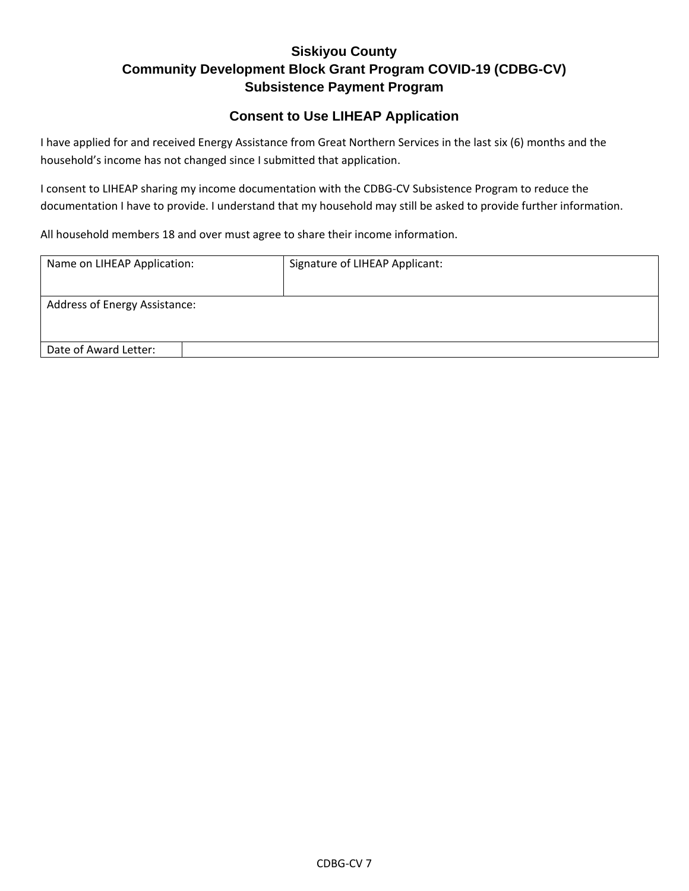#### **Consent to Use LIHEAP Application**

I have applied for and received Energy Assistance from Great Northern Services in the last six (6) months and the household's income has not changed since I submitted that application.

I consent to LIHEAP sharing my income documentation with the CDBG-CV Subsistence Program to reduce the documentation I have to provide. I understand that my household may still be asked to provide further information.

All household members 18 and over must agree to share their income information.

| Name on LIHEAP Application:   | Signature of LIHEAP Applicant: |  |  |
|-------------------------------|--------------------------------|--|--|
|                               |                                |  |  |
| Address of Energy Assistance: |                                |  |  |
|                               |                                |  |  |
| Date of Award Letter:         |                                |  |  |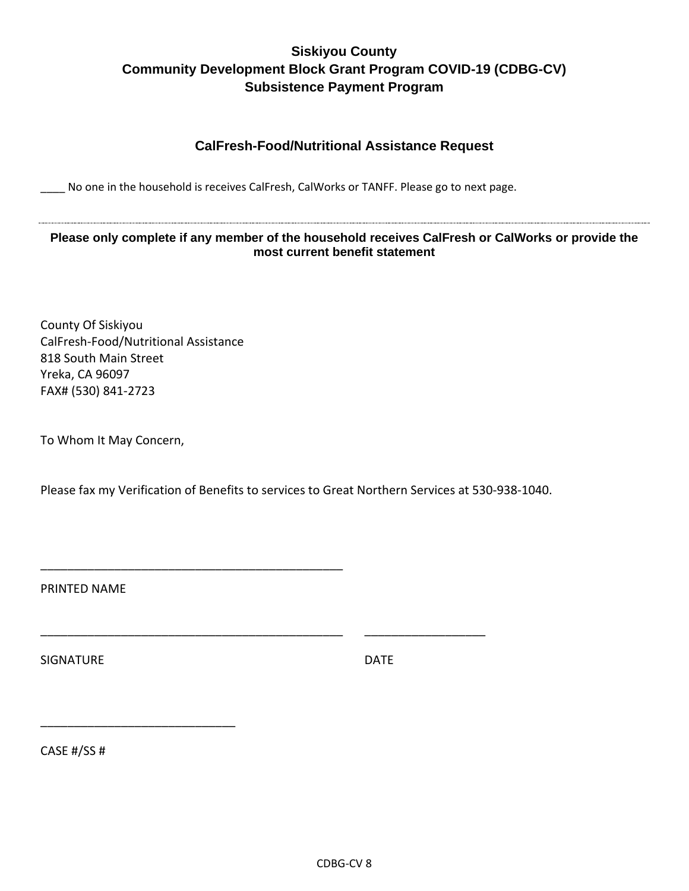#### **CalFresh-Food/Nutritional Assistance Request**

No one in the household is receives CalFresh, CalWorks or TANFF. Please go to next page.

**Please only complete if any member of the household receives CalFresh or CalWorks or provide the most current benefit statement**

County Of Siskiyou CalFresh-Food/Nutritional Assistance 818 South Main Street Yreka, CA 96097 FAX# (530) 841-2723

\_\_\_\_\_\_\_\_\_\_\_\_\_\_\_\_\_\_\_\_\_\_\_\_\_\_\_\_\_\_\_\_\_\_\_\_\_\_\_\_\_\_\_\_\_

To Whom It May Concern,

Please fax my Verification of Benefits to services to Great Northern Services at 530-938-1040.

\_\_\_\_\_\_\_\_\_\_\_\_\_\_\_\_\_\_\_\_\_\_\_\_\_\_\_\_\_\_\_\_\_\_\_\_\_\_\_\_\_\_\_\_\_ \_\_\_\_\_\_\_\_\_\_\_\_\_\_\_\_\_\_

PRINTED NAME

SIGNATURE DATE

CASE #/SS #

\_\_\_\_\_\_\_\_\_\_\_\_\_\_\_\_\_\_\_\_\_\_\_\_\_\_\_\_\_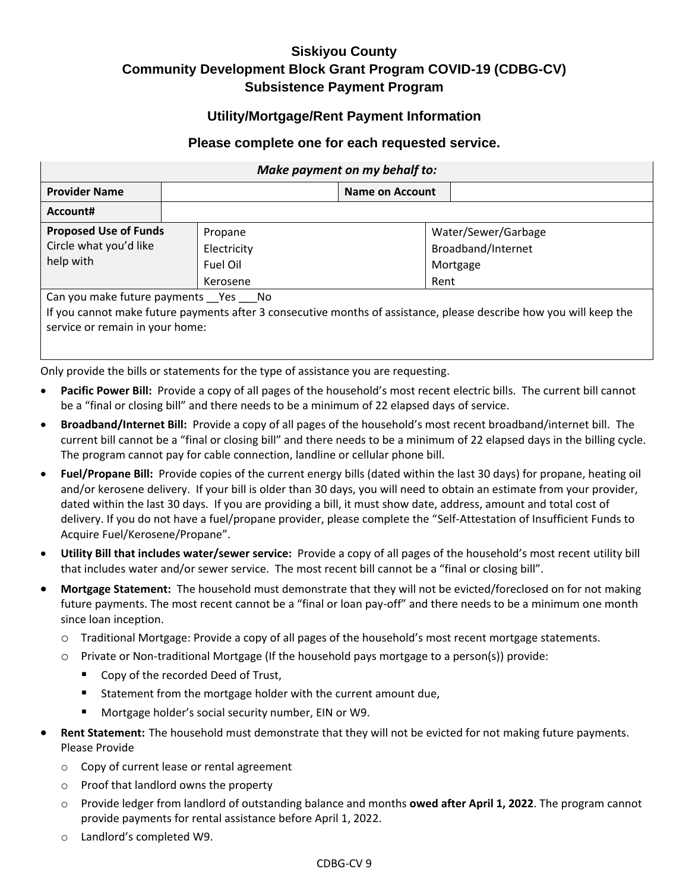#### **Utility/Mortgage/Rent Payment Information**

#### **Please complete one for each requested service.**

| Make payment on my behalf to:                                       |                                                |                        |                                                                                                                    |  |  |
|---------------------------------------------------------------------|------------------------------------------------|------------------------|--------------------------------------------------------------------------------------------------------------------|--|--|
| <b>Provider Name</b>                                                |                                                | <b>Name on Account</b> |                                                                                                                    |  |  |
| Account#                                                            |                                                |                        |                                                                                                                    |  |  |
| <b>Proposed Use of Funds</b><br>Circle what you'd like<br>help with | Propane<br>Electricity<br>Fuel Oil<br>Kerosene |                        | Water/Sewer/Garbage<br>Broadband/Internet<br>Mortgage<br>Rent                                                      |  |  |
| Can you make future payments _Yes ___ No                            |                                                |                        | If you cannot make future nayments after 2 consecutive months of assistance, please describe how you will keep the |  |  |

If you cannot make future payments after 3 consecutive months of assistance, please describe how you will keep the service or remain in your home:

Only provide the bills or statements for the type of assistance you are requesting.

- Pacific Power Bill: Provide a copy of all pages of the household's most recent electric bills. The current bill cannot be a "final or closing bill" and there needs to be a minimum of 22 elapsed days of service.
- **Broadband/Internet Bill:** Provide a copy of all pages of the household's most recent broadband/internet bill. The current bill cannot be a "final or closing bill" and there needs to be a minimum of 22 elapsed days in the billing cycle. The program cannot pay for cable connection, landline or cellular phone bill.
- **Fuel/Propane Bill:** Provide copies of the current energy bills (dated within the last 30 days) for propane, heating oil and/or kerosene delivery. If your bill is older than 30 days, you will need to obtain an estimate from your provider, dated within the last 30 days. If you are providing a bill, it must show date, address, amount and total cost of delivery. If you do not have a fuel/propane provider, please complete the "Self-Attestation of Insufficient Funds to Acquire Fuel/Kerosene/Propane".
- **Utility Bill that includes water/sewer service:** Provide a copy of all pages of the household's most recent utility bill that includes water and/or sewer service. The most recent bill cannot be a "final or closing bill".
- **Mortgage Statement:** The household must demonstrate that they will not be evicted/foreclosed on for not making future payments. The most recent cannot be a "final or loan pay-off" and there needs to be a minimum one month since loan inception.
	- o Traditional Mortgage: Provide a copy of all pages of the household's most recent mortgage statements.
	- $\circ$  Private or Non-traditional Mortgage (If the household pays mortgage to a person(s)) provide:
		- Copy of the recorded Deed of Trust,
		- Statement from the mortgage holder with the current amount due,
		- Mortgage holder's social security number, EIN or W9.
- **Rent Statement:** The household must demonstrate that they will not be evicted for not making future payments. Please Provide
	- o Copy of current lease or rental agreement
	- o Proof that landlord owns the property
	- o Provide ledger from landlord of outstanding balance and months **owed after April 1, 2022**. The program cannot provide payments for rental assistance before April 1, 2022.
	- o Landlord's completed W9.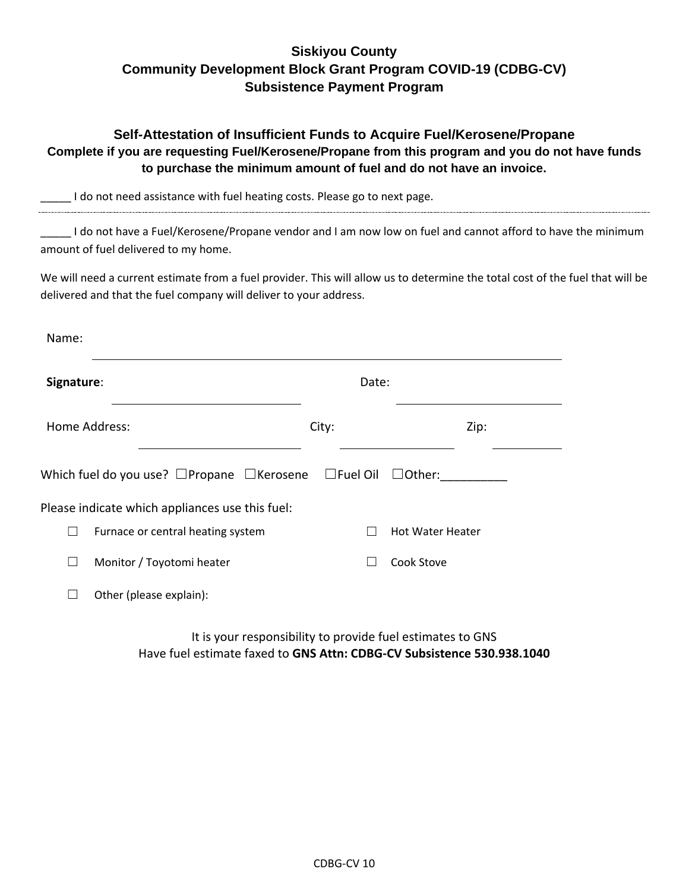|            | Self-Attestation of Insufficient Funds to Acquire Fuel/Kerosene/Propane<br>Complete if you are requesting Fuel/Kerosene/Propane from this program and you do not have funds<br>to purchase the minimum amount of fuel and do not have an invoice. |              |                                                                |  |  |
|------------|---------------------------------------------------------------------------------------------------------------------------------------------------------------------------------------------------------------------------------------------------|--------------|----------------------------------------------------------------|--|--|
|            | I do not need assistance with fuel heating costs. Please go to next page.                                                                                                                                                                         |              |                                                                |  |  |
|            | I do not have a Fuel/Kerosene/Propane vendor and I am now low on fuel and cannot afford to have the minimum<br>amount of fuel delivered to my home.                                                                                               |              |                                                                |  |  |
|            | We will need a current estimate from a fuel provider. This will allow us to determine the total cost of the fuel that will be<br>delivered and that the fuel company will deliver to your address.                                                |              |                                                                |  |  |
| Name:      |                                                                                                                                                                                                                                                   |              |                                                                |  |  |
| Signature: |                                                                                                                                                                                                                                                   | Date:        |                                                                |  |  |
|            | Home Address:                                                                                                                                                                                                                                     | City:        | Zip:                                                           |  |  |
|            | Which fuel do you use? $\Box$ Propane $\Box$ Kerosene                                                                                                                                                                                             |              | $\square$ Fuel Oil $\square$ Other:                            |  |  |
|            | Please indicate which appliances use this fuel:                                                                                                                                                                                                   |              |                                                                |  |  |
| $\Box$     | Furnace or central heating system                                                                                                                                                                                                                 |              | <b>Hot Water Heater</b>                                        |  |  |
| $\Box$     | Monitor / Toyotomi heater                                                                                                                                                                                                                         | $\mathsf{L}$ | Cook Stove                                                     |  |  |
| $\Box$     | Other (please explain):                                                                                                                                                                                                                           |              |                                                                |  |  |
|            |                                                                                                                                                                                                                                                   |              | ta ba como a analista de la característica de astronos e a CNC |  |  |

It is your responsibility to provide fuel estimates to GNS Have fuel estimate faxed to **GNS Attn: CDBG-CV Subsistence 530.938.1040**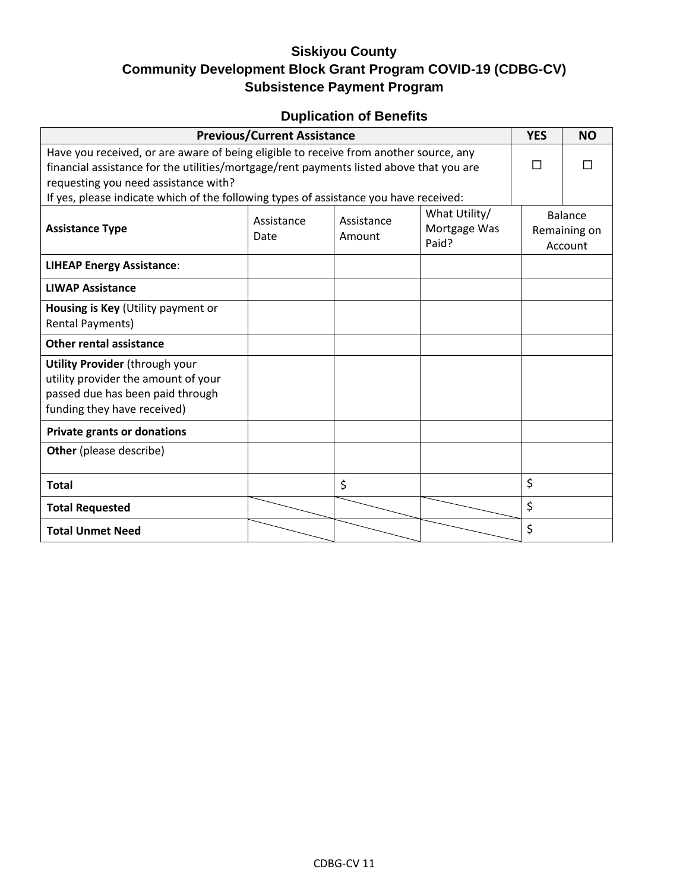# **Duplication of Benefits**

| <b>Previous/Current Assistance</b>                                                                                                                                                                                                                                                                                |                                                                                      | <b>YES</b> | <b>NO</b> |                                    |  |
|-------------------------------------------------------------------------------------------------------------------------------------------------------------------------------------------------------------------------------------------------------------------------------------------------------------------|--------------------------------------------------------------------------------------|------------|-----------|------------------------------------|--|
| Have you received, or are aware of being eligible to receive from another source, any<br>financial assistance for the utilities/mortgage/rent payments listed above that you are<br>requesting you need assistance with?<br>If yes, please indicate which of the following types of assistance you have received: |                                                                                      |            |           |                                    |  |
| <b>Assistance Type</b>                                                                                                                                                                                                                                                                                            | What Utility/<br>Assistance<br>Assistance<br>Mortgage Was<br>Amount<br>Date<br>Paid? |            |           | Balance<br>Remaining on<br>Account |  |
| <b>LIHEAP Energy Assistance:</b>                                                                                                                                                                                                                                                                                  |                                                                                      |            |           |                                    |  |
| <b>LIWAP Assistance</b>                                                                                                                                                                                                                                                                                           |                                                                                      |            |           |                                    |  |
| Housing is Key (Utility payment or<br>Rental Payments)                                                                                                                                                                                                                                                            |                                                                                      |            |           |                                    |  |
| <b>Other rental assistance</b>                                                                                                                                                                                                                                                                                    |                                                                                      |            |           |                                    |  |
| <b>Utility Provider (through your</b><br>utility provider the amount of your<br>passed due has been paid through<br>funding they have received)                                                                                                                                                                   |                                                                                      |            |           |                                    |  |
| <b>Private grants or donations</b>                                                                                                                                                                                                                                                                                |                                                                                      |            |           |                                    |  |
| Other (please describe)                                                                                                                                                                                                                                                                                           |                                                                                      |            |           |                                    |  |
| <b>Total</b>                                                                                                                                                                                                                                                                                                      |                                                                                      | \$         |           | \$                                 |  |
| <b>Total Requested</b>                                                                                                                                                                                                                                                                                            |                                                                                      |            |           | \$                                 |  |
| <b>Total Unmet Need</b>                                                                                                                                                                                                                                                                                           |                                                                                      |            |           | \$                                 |  |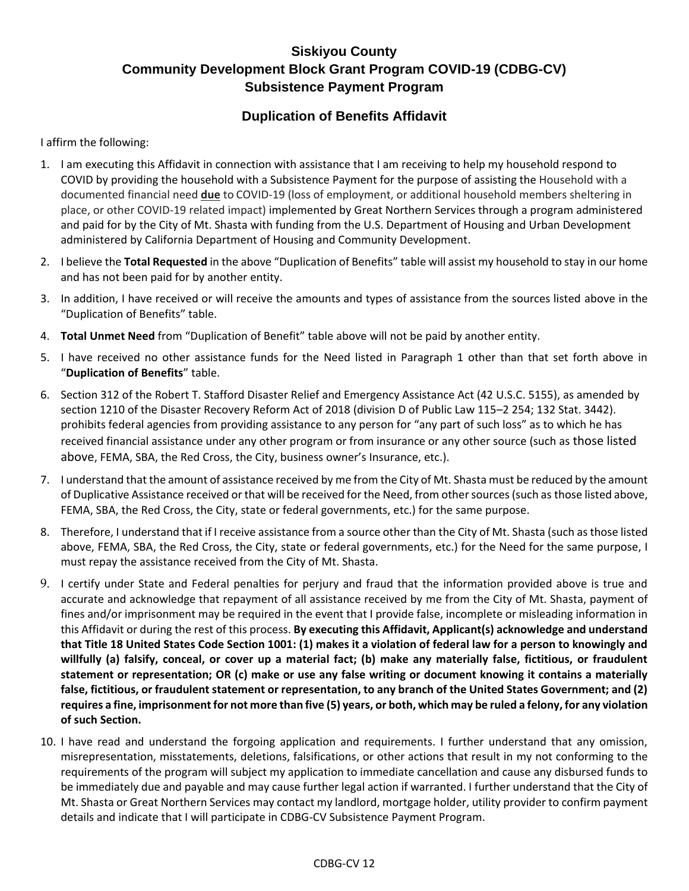#### **Duplication of Benefits Affidavit**

I affirm the following:

- 1. I am executing this Affidavit in connection with assistance that I am receiving to help my household respond to COVID by providing the household with a Subsistence Payment for the purpose of assisting the Household with a documented financial need **due** to COVID-19 (loss of employment, or additional household members sheltering in place, or other COVID-19 related impact) implemented by Great Northern Services through a program administered and paid for by the City of Mt. Shasta with funding from the U.S. Department of Housing and Urban Development administered by California Department of Housing and Community Development.
- 2. I believe the **Total Requested** in the above "Duplication of Benefits" table will assist my household to stay in our home and has not been paid for by another entity.
- 3. In addition, I have received or will receive the amounts and types of assistance from the sources listed above in the "Duplication of Benefits" table.
- 4. **Total Unmet Need** from "Duplication of Benefit" table above will not be paid by another entity.
- 5. I have received no other assistance funds for the Need listed in Paragraph 1 other than that set forth above in "**Duplication of Benefits**" table.
- 6. Section 312 of the Robert T. Stafford Disaster Relief and Emergency Assistance Act (42 U.S.C. 5155), as amended by section 1210 of the Disaster Recovery Reform Act of 2018 (division D of Public Law 115–2 254; 132 Stat. 3442). prohibits federal agencies from providing assistance to any person for "any part of such loss" as to which he has received financial assistance under any other program or from insurance or any other source (such as those listed above, FEMA, SBA, the Red Cross, the City, business owner's Insurance, etc.).
- 7. I understand that the amount of assistance received by me from the City of Mt. Shasta must be reduced by the amount of Duplicative Assistance received or that will be received for the Need, from other sources (such as those listed above, FEMA, SBA, the Red Cross, the City, state or federal governments, etc.) for the same purpose.
- 8. Therefore, I understand that if I receive assistance from a source other than the City of Mt. Shasta (such as those listed above, FEMA, SBA, the Red Cross, the City, state or federal governments, etc.) for the Need for the same purpose, I must repay the assistance received from the City of Mt. Shasta.
- 9. I certify under State and Federal penalties for perjury and fraud that the information provided above is true and accurate and acknowledge that repayment of all assistance received by me from the City of Mt. Shasta, payment of fines and/or imprisonment may be required in the event that I provide false, incomplete or misleading information in this Affidavit or during the rest of this process. **By executing this Affidavit, Applicant(s) acknowledge and understand that Title 18 United States Code Section 1001: (1) makes it a violation of federal law for a person to knowingly and willfully (a) falsify, conceal, or cover up a material fact; (b) make any materially false, fictitious, or fraudulent statement or representation; OR (c) make or use any false writing or document knowing it contains a materially false, fictitious, or fraudulent statement or representation, to any branch of the United States Government; and (2) requires a fine, imprisonment for not more than five (5) years, or both, which may be ruled a felony, for any violation of such Section.**
- 10. I have read and understand the forgoing application and requirements. I further understand that any omission, misrepresentation, misstatements, deletions, falsifications, or other actions that result in my not conforming to the requirements of the program will subject my application to immediate cancellation and cause any disbursed funds to be immediately due and payable and may cause further legal action if warranted. I further understand that the City of Mt. Shasta or Great Northern Services may contact my landlord, mortgage holder, utility provider to confirm payment details and indicate that I will participate in CDBG-CV Subsistence Payment Program.